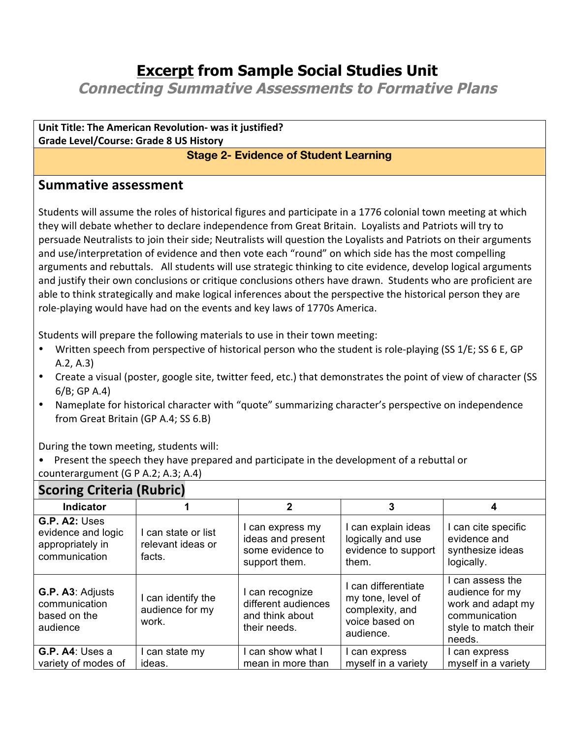## **Excerpt from Sample Social Studies Unit**

**Connecting Summative Assessments to Formative Plans**

**Unit Title: The American Revolution- was it justified? Grade Level/Course: Grade 8 US History**

## **Stage 2- Evidence of Student Learning**

## **Summative assessment**

Students will assume the roles of historical figures and participate in a 1776 colonial town meeting at which they will debate whether to declare independence from Great Britain. Loyalists and Patriots will try to persuade Neutralists to join their side; Neutralists will question the Loyalists and Patriots on their arguments and use/interpretation of evidence and then vote each "round" on which side has the most compelling arguments and rebuttals. All students will use strategic thinking to cite evidence, develop logical arguments and justify their own conclusions or critique conclusions others have drawn. Students who are proficient are able to think strategically and make logical inferences about the perspective the historical person they are role-playing would have had on the events and key laws of 1770s America.

Students will prepare the following materials to use in their town meeting:

- Written speech from perspective of historical person who the student is role-playing (SS 1/E; SS 6 E, GP  $A.2, A.3$
- Create a visual (poster, google site, twitter feed, etc.) that demonstrates the point of view of character (SS  $6/B$ ; GP A.4)
- Nameplate for historical character with "quote" summarizing character's perspective on independence from Great Britain (GP A.4; SS 6.B)

During the town meeting, students will:

Present the speech they have prepared and participate in the development of a rebuttal or counterargument (G P A.2; A.3; A.4)

| <b>Scoring Criteria (Rubric)</b>                                         |                                                    |                                                                          |                                                                                            |                                                                                                             |  |
|--------------------------------------------------------------------------|----------------------------------------------------|--------------------------------------------------------------------------|--------------------------------------------------------------------------------------------|-------------------------------------------------------------------------------------------------------------|--|
| Indicator                                                                |                                                    | $\mathbf{2}$                                                             | 3                                                                                          |                                                                                                             |  |
| G.P. A2: Uses<br>evidence and logic<br>appropriately in<br>communication | I can state or list<br>relevant ideas or<br>facts. | can express my<br>ideas and present<br>some evidence to<br>support them. | can explain ideas<br>logically and use<br>evidence to support<br>them.                     | I can cite specific<br>evidence and<br>synthesize ideas<br>logically.                                       |  |
| G.P. A3: Adjusts<br>communication<br>based on the<br>audience            | can identify the<br>audience for my<br>work.       | can recognize<br>different audiences<br>and think about<br>their needs.  | I can differentiate<br>my tone, level of<br>complexity, and<br>voice based on<br>audience. | I can assess the<br>audience for my<br>work and adapt my<br>communication<br>style to match their<br>needs. |  |
| G.P. A4: Uses a<br>variety of modes of                                   | can state my<br>ideas.                             | can show what I<br>mean in more than                                     | can express<br>myself in a variety                                                         | l can express<br>myself in a variety                                                                        |  |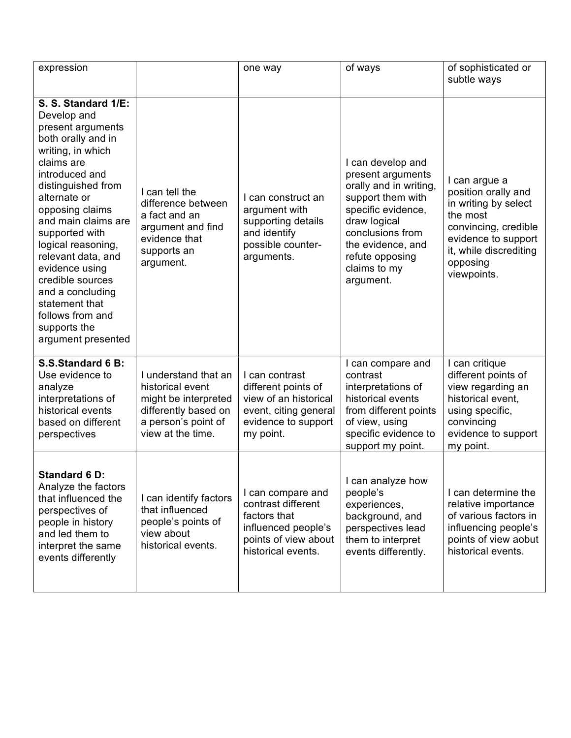| expression                                                                                                                                                                                                                                                                                                                                                                                                             |                                                                                                                                      | one way                                                                                                                      | of ways                                                                                                                                                                                                              | of sophisticated or<br>subtle ways                                                                                                                                           |
|------------------------------------------------------------------------------------------------------------------------------------------------------------------------------------------------------------------------------------------------------------------------------------------------------------------------------------------------------------------------------------------------------------------------|--------------------------------------------------------------------------------------------------------------------------------------|------------------------------------------------------------------------------------------------------------------------------|----------------------------------------------------------------------------------------------------------------------------------------------------------------------------------------------------------------------|------------------------------------------------------------------------------------------------------------------------------------------------------------------------------|
| S. S. Standard 1/E:<br>Develop and<br>present arguments<br>both orally and in<br>writing, in which<br>claims are<br>introduced and<br>distinguished from<br>alternate or<br>opposing claims<br>and main claims are<br>supported with<br>logical reasoning,<br>relevant data, and<br>evidence using<br>credible sources<br>and a concluding<br>statement that<br>follows from and<br>supports the<br>argument presented | I can tell the<br>difference between<br>a fact and an<br>argument and find<br>evidence that<br>supports an<br>argument.              | I can construct an<br>argument with<br>supporting details<br>and identify<br>possible counter-<br>arguments.                 | I can develop and<br>present arguments<br>orally and in writing,<br>support them with<br>specific evidence,<br>draw logical<br>conclusions from<br>the evidence, and<br>refute opposing<br>claims to my<br>argument. | I can argue a<br>position orally and<br>in writing by select<br>the most<br>convincing, credible<br>evidence to support<br>it, while discrediting<br>opposing<br>viewpoints. |
| S.S.Standard 6 B:<br>Use evidence to<br>analyze<br>interpretations of<br>historical events<br>based on different<br>perspectives                                                                                                                                                                                                                                                                                       | I understand that an<br>historical event<br>might be interpreted<br>differently based on<br>a person's point of<br>view at the time. | I can contrast<br>different points of<br>view of an historical<br>event, citing general<br>evidence to support<br>my point.  | I can compare and<br>contrast<br>interpretations of<br>historical events<br>from different points<br>of view, using<br>specific evidence to<br>support my point.                                                     | I can critique<br>different points of<br>view regarding an<br>historical event,<br>using specific,<br>convincing<br>evidence to support<br>my point.                         |
| <b>Standard 6 D:</b><br>Analyze the factors<br>that influenced the<br>perspectives of<br>people in history<br>and led them to<br>interpret the same<br>events differently                                                                                                                                                                                                                                              | I can identify factors<br>that influenced<br>people's points of<br>view about<br>historical events.                                  | I can compare and<br>contrast different<br>factors that<br>influenced people's<br>points of view about<br>historical events. | I can analyze how<br>people's<br>experiences,<br>background, and<br>perspectives lead<br>them to interpret<br>events differently.                                                                                    | I can determine the<br>relative importance<br>of various factors in<br>influencing people's<br>points of view aobut<br>historical events.                                    |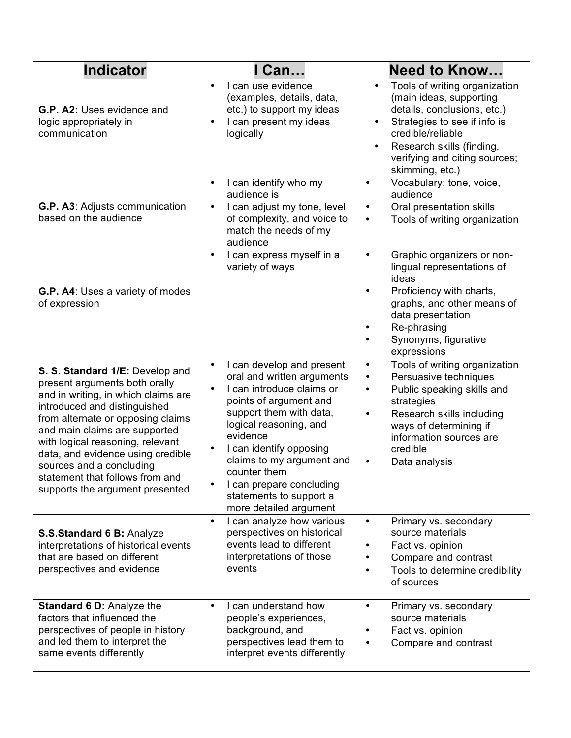| <b>Indicator</b>                                                                                                                                                                                                                                                                                                                                                                         | I Can                                                                                                                                                                                                                                                                                                                                                 | <b>Need to Know</b>                                                                                                                                                                                                                                                                |
|------------------------------------------------------------------------------------------------------------------------------------------------------------------------------------------------------------------------------------------------------------------------------------------------------------------------------------------------------------------------------------------|-------------------------------------------------------------------------------------------------------------------------------------------------------------------------------------------------------------------------------------------------------------------------------------------------------------------------------------------------------|------------------------------------------------------------------------------------------------------------------------------------------------------------------------------------------------------------------------------------------------------------------------------------|
| G.P. A2: Uses evidence and<br>logic appropriately in<br>communication                                                                                                                                                                                                                                                                                                                    | I can use evidence<br>$\bullet$<br>(examples, details, data,<br>etc.) to support my ideas<br>I can present my ideas<br>logically                                                                                                                                                                                                                      | Tools of writing organization<br>$\bullet$<br>(main ideas, supporting<br>details, conclusions, etc.)<br>Strategies to see if info is<br>credible/reliable<br>Research skills (finding,<br>verifying and citing sources;<br>skimming, etc.)                                         |
| G.P. A3: Adjusts communication<br>based on the audience                                                                                                                                                                                                                                                                                                                                  | I can identify who my<br>$\bullet$<br>audience is<br>I can adjust my tone, level<br>of complexity, and voice to<br>match the needs of my<br>audience                                                                                                                                                                                                  | Vocabulary: tone, voice,<br>$\bullet$<br>audience<br>Oral presentation skills<br>$\bullet$<br>Tools of writing organization<br>$\bullet$                                                                                                                                           |
| G.P. A4: Uses a variety of modes<br>of expression                                                                                                                                                                                                                                                                                                                                        | I can express myself in a<br>variety of ways                                                                                                                                                                                                                                                                                                          | Graphic organizers or non-<br>$\bullet$<br>lingual representations of<br>ideas<br>Proficiency with charts,<br>$\bullet$<br>graphs, and other means of<br>data presentation<br>Re-phrasing<br>Synonyms, figurative<br>$\bullet$<br>expressions                                      |
| S. S. Standard 1/E: Develop and<br>present arguments both orally<br>and in writing, in which claims are<br>introduced and distinguished<br>from alternate or opposing claims<br>and main claims are supported<br>with logical reasoning, relevant<br>data, and evidence using credible<br>sources and a concluding<br>statement that follows from and<br>supports the argument presented | I can develop and present<br>$\bullet$<br>oral and written arguments<br>I can introduce claims or<br>points of argument and<br>support them with data,<br>logical reasoning, and<br>evidence<br>I can identify opposing<br>claims to my argument and<br>counter them<br>I can prepare concluding<br>statements to support a<br>more detailed argument | Tools of writing organization<br>$\bullet$<br>Persuasive techniques<br>$\bullet$<br>Public speaking skills and<br>$\bullet$<br>strategies<br>Research skills including<br>$\bullet$<br>ways of determining if<br>information sources are<br>credible<br>Data analysis<br>$\bullet$ |
| S.S.Standard 6 B: Analyze<br>interpretations of historical events<br>that are based on different<br>perspectives and evidence                                                                                                                                                                                                                                                            | I can analyze how various<br>$\bullet$<br>perspectives on historical<br>events lead to different<br>interpretations of those<br>events                                                                                                                                                                                                                | Primary vs. secondary<br>$\bullet$<br>source materials<br>Fact vs. opinion<br>$\bullet$<br>Compare and contrast<br>$\bullet$<br>Tools to determine credibility<br>$\bullet$<br>of sources                                                                                          |
| Standard 6 D: Analyze the<br>factors that influenced the<br>perspectives of people in history<br>and led them to interpret the<br>same events differently                                                                                                                                                                                                                                | I can understand how<br>$\bullet$<br>people's experiences,<br>background, and<br>perspectives lead them to<br>interpret events differently                                                                                                                                                                                                            | Primary vs. secondary<br>$\bullet$<br>source materials<br>Fact vs. opinion<br>٠<br>Compare and contrast<br>$\bullet$                                                                                                                                                               |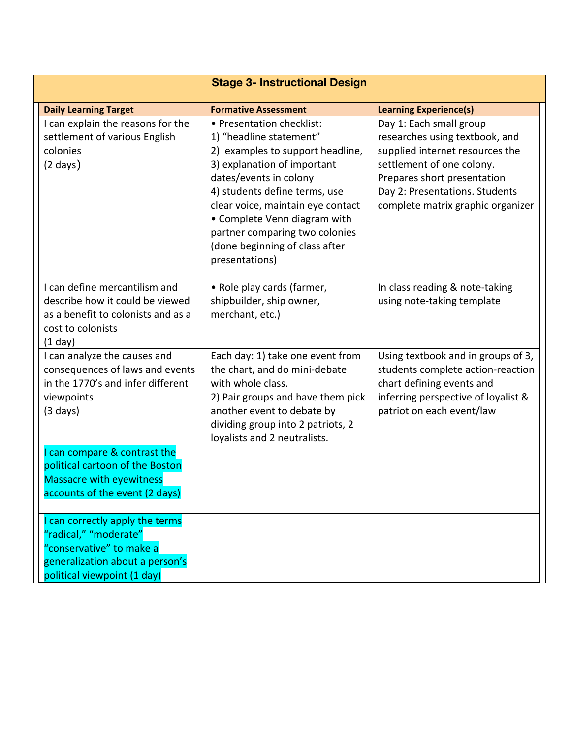| <b>Stage 3- Instructional Design</b>                                                                                                                                  |                                                                                                                                                                                                                                                                                                                                               |                                                                                                                                                                                                                                 |  |  |
|-----------------------------------------------------------------------------------------------------------------------------------------------------------------------|-----------------------------------------------------------------------------------------------------------------------------------------------------------------------------------------------------------------------------------------------------------------------------------------------------------------------------------------------|---------------------------------------------------------------------------------------------------------------------------------------------------------------------------------------------------------------------------------|--|--|
| <b>Daily Learning Target</b>                                                                                                                                          | <b>Formative Assessment</b>                                                                                                                                                                                                                                                                                                                   | <b>Learning Experience(s)</b>                                                                                                                                                                                                   |  |  |
| I can explain the reasons for the<br>settlement of various English<br>colonies<br>$(2 \text{ days})$                                                                  | • Presentation checklist:<br>1) "headline statement"<br>2) examples to support headline,<br>3) explanation of important<br>dates/events in colony<br>4) students define terms, use<br>clear voice, maintain eye contact<br>• Complete Venn diagram with<br>partner comparing two colonies<br>(done beginning of class after<br>presentations) | Day 1: Each small group<br>researches using textbook, and<br>supplied internet resources the<br>settlement of one colony.<br>Prepares short presentation<br>Day 2: Presentations. Students<br>complete matrix graphic organizer |  |  |
| I can define mercantilism and<br>describe how it could be viewed<br>as a benefit to colonists and as a<br>cost to colonists<br>$(1$ day)                              | • Role play cards (farmer,<br>shipbuilder, ship owner,<br>merchant, etc.)                                                                                                                                                                                                                                                                     | In class reading & note-taking<br>using note-taking template                                                                                                                                                                    |  |  |
| I can analyze the causes and<br>consequences of laws and events<br>in the 1770's and infer different<br>viewpoints<br>$(3 \text{ days})$                              | Each day: 1) take one event from<br>the chart, and do mini-debate<br>with whole class.<br>2) Pair groups and have them pick<br>another event to debate by<br>dividing group into 2 patriots, 2<br>loyalists and 2 neutralists.                                                                                                                | Using textbook and in groups of 3,<br>students complete action-reaction<br>chart defining events and<br>inferring perspective of loyalist &<br>patriot on each event/law                                                        |  |  |
| I can compare & contrast the<br>political cartoon of the Boston<br><b>Massacre with eyewitness</b><br>accounts of the event (2 days)<br>can correctly apply the terms |                                                                                                                                                                                                                                                                                                                                               |                                                                                                                                                                                                                                 |  |  |
| "radical," "moderate"<br>"conservative" to make a<br>generalization about a person's<br>political viewpoint (1 day)                                                   |                                                                                                                                                                                                                                                                                                                                               |                                                                                                                                                                                                                                 |  |  |